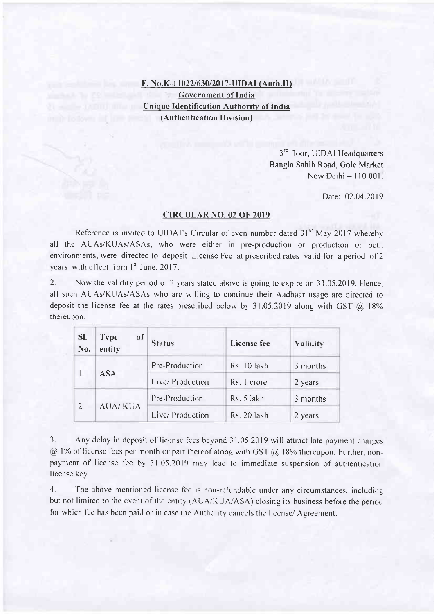## F. No.K-11022/630/2017-UIDAI (Auth.II) Govern ment of India Unique Identification Authority of India (Authcntication Division)

 $3<sup>rd</sup>$  floor, UIDAI Headquarters Bangla Sahib Road, Gole Market New Delhi - 110 001:

Date: 02.04.2019

## CIRCULAR NO. 02 OF 2OI9

Reference is invited to UIDAI's Circular of even number dated 31<sup>st</sup> May 2017 whereby all the AUAs/KUAs/ASAs, who were either in pre-production or production or both environments, were directed to deposit License Fee at prescribed rates valid for a period of 2 vears with effect from 1st June, 2017.

2. Now the validity period of 2 years stated above is going to expire on 31.05.2019. Hence, all such AUAs/KUAs/ASAs who are willing to continue their Aadhaar usage are directed to deposit the license fee at the rates prescribed below by  $31.05.2019$  along with GST  $@.18\%$ thereupon:

| SI.<br>No.     | of<br><b>Type</b><br>entity | <b>Status</b>    | <b>License</b> fee | Validity |
|----------------|-----------------------------|------------------|--------------------|----------|
|                | <b>ASA</b>                  | Pre-Production   | Rs. 10 lakh        | 3 months |
|                |                             | Live/ Production | Rs. 1 crore        | 2 years  |
| $\overline{2}$ | <b>AUA/KUA</b>              | Pre-Production   | Rs. 5 lakh         | 3 months |
|                |                             | Live/ Production | Rs. 20 lakh        | 2 years  |

3. Any delay in deposit of license fees beyond 31.05.2019 will attract late payment charges  $\omega$  1% of license fees per month or part thereof along with GST  $\omega$  18% thereupon. Further, nonpayment of license fee by 31.05.2019 may lead to immediate suspension of authentication license key.

4. The above mentioned license fee is non-refundable under any circumstances, including but not limited to the event of the entity (AUA/KUA/ASA) closing its business before the period for which fee has been paid or in case the Authority cancels the license/ Agreement.